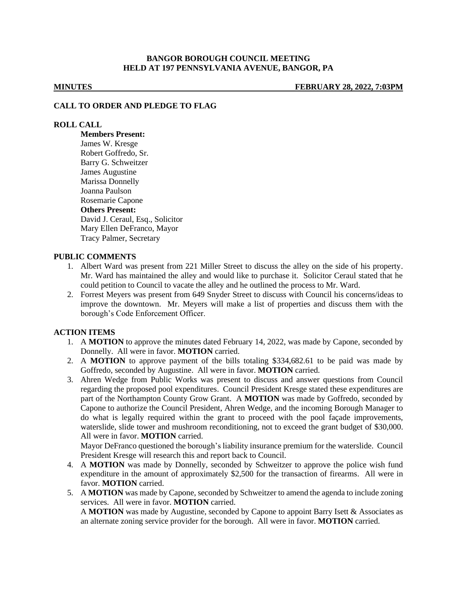## **BANGOR BOROUGH COUNCIL MEETING HELD AT 197 PENNSYLVANIA AVENUE, BANGOR, PA**

**MINUTES FEBRUARY 28, 2022, 7:03PM**

### **CALL TO ORDER AND PLEDGE TO FLAG**

### **ROLL CALL**

**Members Present:** James W. Kresge Robert Goffredo, Sr. Barry G. Schweitzer James Augustine Marissa Donnelly Joanna Paulson Rosemarie Capone **Others Present:** David J. Ceraul, Esq., Solicitor Mary Ellen DeFranco, Mayor Tracy Palmer, Secretary

#### **PUBLIC COMMENTS**

- 1. Albert Ward was present from 221 Miller Street to discuss the alley on the side of his property. Mr. Ward has maintained the alley and would like to purchase it. Solicitor Ceraul stated that he could petition to Council to vacate the alley and he outlined the process to Mr. Ward.
- 2. Forrest Meyers was present from 649 Snyder Street to discuss with Council his concerns/ideas to improve the downtown. Mr. Meyers will make a list of properties and discuss them with the borough's Code Enforcement Officer.

## **ACTION ITEMS**

- 1. A **MOTION** to approve the minutes dated February 14, 2022, was made by Capone, seconded by Donnelly. All were in favor. **MOTION** carried.
- 2. A **MOTION** to approve payment of the bills totaling \$334,682.61 to be paid was made by Goffredo, seconded by Augustine. All were in favor. **MOTION** carried.
- 3. Ahren Wedge from Public Works was present to discuss and answer questions from Council regarding the proposed pool expenditures. Council President Kresge stated these expenditures are part of the Northampton County Grow Grant. A **MOTION** was made by Goffredo, seconded by Capone to authorize the Council President, Ahren Wedge, and the incoming Borough Manager to do what is legally required within the grant to proceed with the pool façade improvements, waterslide, slide tower and mushroom reconditioning, not to exceed the grant budget of \$30,000. All were in favor. **MOTION** carried.

Mayor DeFranco questioned the borough's liability insurance premium for the waterslide. Council President Kresge will research this and report back to Council.

- 4. A **MOTION** was made by Donnelly, seconded by Schweitzer to approve the police wish fund expenditure in the amount of approximately \$2,500 for the transaction of firearms. All were in favor. **MOTION** carried.
- 5. A **MOTION** was made by Capone, seconded by Schweitzer to amend the agenda to include zoning services. All were in favor. **MOTION** carried. A **MOTION** was made by Augustine, seconded by Capone to appoint Barry Isett & Associates as an alternate zoning service provider for the borough. All were in favor. **MOTION** carried.